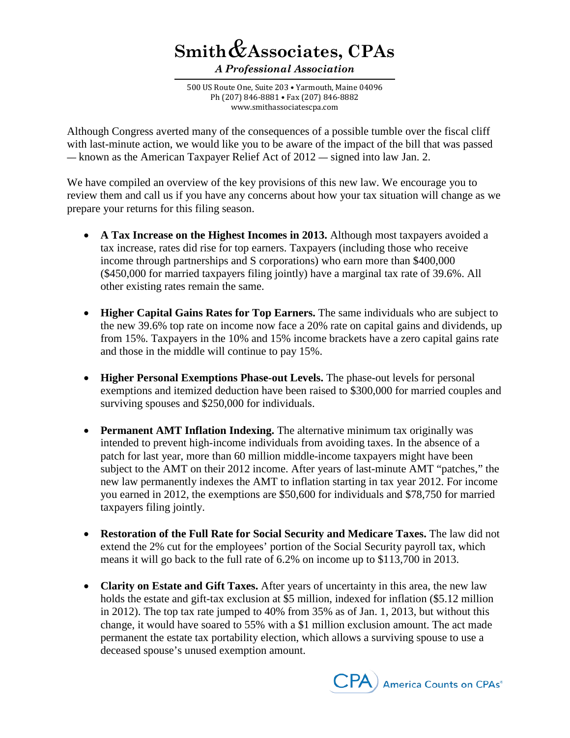## **Smith***&***Associates, CPAs**

*A Professional Association*

500 US Route One, Suite 203 • Yarmouth, Maine 04096 Ph (207) 846-8881 • Fax (207) 846-8882 www.smithassociatescpa.com

Although Congress averted many of the consequences of a possible tumble over the fiscal cliff with last-minute action, we would like you to be aware of the impact of the bill that was passed — known as the American Taxpayer Relief Act of 2012 — signed into law Jan. 2.

We have compiled an overview of the key provisions of this new law. We encourage you to review them and call us if you have any concerns about how your tax situation will change as we prepare your returns for this filing season.

- **A Tax Increase on the Highest Incomes in 2013.** Although most taxpayers avoided a tax increase, rates did rise for top earners. Taxpayers (including those who receive income through partnerships and S corporations) who earn more than \$400,000 (\$450,000 for married taxpayers filing jointly) have a marginal tax rate of 39.6%. All other existing rates remain the same.
- **Higher Capital Gains Rates for Top Earners.** The same individuals who are subject to the new 39.6% top rate on income now face a 20% rate on capital gains and dividends, up from 15%. Taxpayers in the 10% and 15% income brackets have a zero capital gains rate and those in the middle will continue to pay 15%.
- **Higher Personal Exemptions Phase-out Levels.** The phase-out levels for personal exemptions and itemized deduction have been raised to \$300,000 for married couples and surviving spouses and \$250,000 for individuals.
- **Permanent AMT Inflation Indexing.** The alternative minimum tax originally was intended to prevent high-income individuals from avoiding taxes. In the absence of a patch for last year, more than 60 million middle-income taxpayers might have been subject to the AMT on their 2012 income. After years of last-minute AMT "patches," the new law permanently indexes the AMT to inflation starting in tax year 2012. For income you earned in 2012, the exemptions are \$50,600 for individuals and \$78,750 for married taxpayers filing jointly.
- **Restoration of the Full Rate for Social Security and Medicare Taxes.** The law did not extend the 2% cut for the employees' portion of the Social Security payroll tax, which means it will go back to the full rate of 6.2% on income up to \$113,700 in 2013.
- **Clarity on Estate and Gift Taxes.** After years of uncertainty in this area, the new law holds the estate and gift-tax exclusion at \$5 million, indexed for inflation (\$5.12 million in 2012). The top tax rate jumped to 40% from 35% as of Jan. 1, 2013, but without this change, it would have soared to 55% with a \$1 million exclusion amount. The act made permanent the estate tax portability election, which allows a surviving spouse to use a deceased spouse's unused exemption amount.